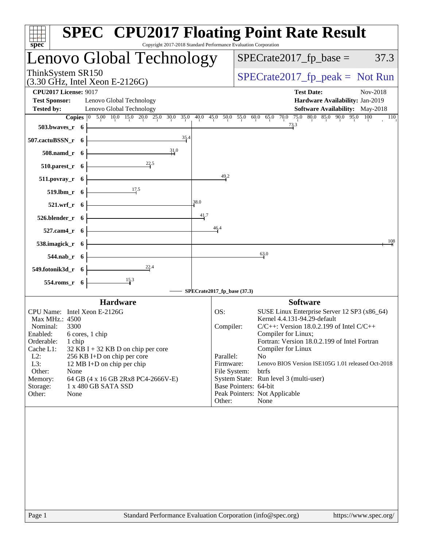| <b>SPEC<sup>®</sup> CPU2017 Floating Point Rate Result</b><br>Copyright 2017-2018 Standard Performance Evaluation Corporation<br>spec <sup>®</sup>                                                                                                                                                                                                                                                                                   |                                                                      |                                                                                                                                                                                                                                                                                                                                                                                                                         |
|--------------------------------------------------------------------------------------------------------------------------------------------------------------------------------------------------------------------------------------------------------------------------------------------------------------------------------------------------------------------------------------------------------------------------------------|----------------------------------------------------------------------|-------------------------------------------------------------------------------------------------------------------------------------------------------------------------------------------------------------------------------------------------------------------------------------------------------------------------------------------------------------------------------------------------------------------------|
| Lenovo Global Technology                                                                                                                                                                                                                                                                                                                                                                                                             |                                                                      | $SPECrate2017fp base =$<br>37.3                                                                                                                                                                                                                                                                                                                                                                                         |
| ThinkSystem SR150<br>$(3.30 \text{ GHz}, \text{Intel Xeon E-2126G})$                                                                                                                                                                                                                                                                                                                                                                 |                                                                      | $SPECrate2017_fp\_peak = Not Run$                                                                                                                                                                                                                                                                                                                                                                                       |
| <b>CPU2017 License: 9017</b><br><b>Test Sponsor:</b><br>Lenovo Global Technology<br>Lenovo Global Technology<br><b>Tested by:</b><br>503.bwaves_r $6$<br>$\frac{35.4}{4}$<br>507.cactuBSSN_r $6$<br>31.0<br>$508$ .namd_r 6<br>$\overline{\phantom{223.5}}$<br>510.parest_r $6$<br>511.povray_r $6$<br>$\overline{\phantom{17.5}}$<br>519.lbm_r $6 \nightharpoonup$<br>$521.wrf_r$ 6<br>$526. \text{blender}_r$ 6<br>$527$ .cam4_r 6 | 49.2<br>38.0<br>41.7<br>46.4                                         | <b>Test Date:</b><br>Nov-2018<br>Hardware Availability: Jan-2019<br><b>Software Availability:</b> May-2018<br>Copies 0 5.00 10.0 15.0 20.0 25.0 30.0 35.0 40.0 45.0 50.0 55.0 60.0 65.0 70.0 75.0 80.0 85.0 90.0 95.0 100<br>110<br>73.3                                                                                                                                                                                |
| 538.imagick_r $6$<br>$544.nab_r 6$                                                                                                                                                                                                                                                                                                                                                                                                   |                                                                      | 108<br>63.0                                                                                                                                                                                                                                                                                                                                                                                                             |
| 549.fotonik3d_r $6$<br>554.roms_r $6$                                                                                                                                                                                                                                                                                                                                                                                                | SPECrate2017_fp_base (37.3)                                          |                                                                                                                                                                                                                                                                                                                                                                                                                         |
| <b>Hardware</b>                                                                                                                                                                                                                                                                                                                                                                                                                      |                                                                      | <b>Software</b>                                                                                                                                                                                                                                                                                                                                                                                                         |
| CPU Name: Intel Xeon E-2126G<br>Max MHz.: 4500<br>Nominal:<br>3300<br>Enabled: 6 cores, 1 chip<br>Orderable:<br>1 chip<br>Cache L1:<br>$32$ KB I + 32 KB D on chip per core<br>$L2$ :<br>256 KB I+D on chip per core<br>L3:<br>12 MB I+D on chip per chip<br>Other:<br>None<br>Memory:<br>64 GB (4 x 16 GB 2Rx8 PC4-2666V-E)<br>1 x 480 GB SATA SSD<br>Storage:<br>Other:<br>None                                                    | OS:<br>Compiler:<br>Parallel:<br>Firmware:<br>File System:<br>Other: | SUSE Linux Enterprise Server 12 SP3 (x86_64)<br>Kernel 4.4.131-94.29-default<br>$C/C++$ : Version 18.0.2.199 of Intel $C/C++$<br>Compiler for Linux;<br>Fortran: Version 18.0.2.199 of Intel Fortran<br>Compiler for Linux<br>N <sub>o</sub><br>Lenovo BIOS Version ISE105G 1.01 released Oct-2018<br>btrfs<br>System State: Run level 3 (multi-user)<br>Base Pointers: 64-bit<br>Peak Pointers: Not Applicable<br>None |
|                                                                                                                                                                                                                                                                                                                                                                                                                                      |                                                                      |                                                                                                                                                                                                                                                                                                                                                                                                                         |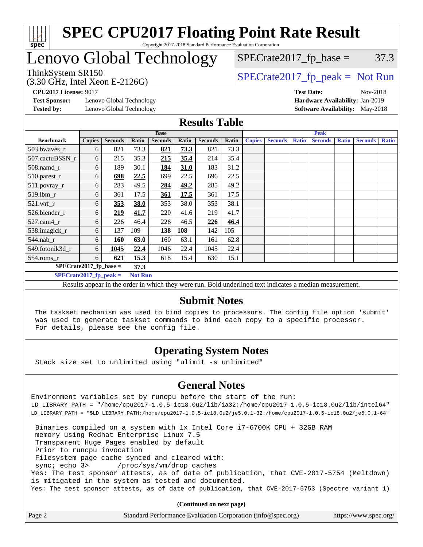

# Lenovo Global Technology

(3.30 GHz, Intel Xeon E-2126G)

 $SPECTate2017<sub>fr</sub> peak = Not Run$ 

 $SPECTate2017<sub>fp</sub> base =  $37.3$$ 

**[Test Sponsor:](http://www.spec.org/auto/cpu2017/Docs/result-fields.html#TestSponsor)** Lenovo Global Technology **[Hardware Availability:](http://www.spec.org/auto/cpu2017/Docs/result-fields.html#HardwareAvailability)** Jan-2019 **[Tested by:](http://www.spec.org/auto/cpu2017/Docs/result-fields.html#Testedby)** Lenovo Global Technology **[Software Availability:](http://www.spec.org/auto/cpu2017/Docs/result-fields.html#SoftwareAvailability)** May-2018

**[CPU2017 License:](http://www.spec.org/auto/cpu2017/Docs/result-fields.html#CPU2017License)** 9017 **[Test Date:](http://www.spec.org/auto/cpu2017/Docs/result-fields.html#TestDate)** Nov-2018

## **[Results Table](http://www.spec.org/auto/cpu2017/Docs/result-fields.html#ResultsTable)**

|                          | <b>Base</b>   |                |                |                |            | <b>Peak</b>    |       |               |                |              |                |              |                |              |
|--------------------------|---------------|----------------|----------------|----------------|------------|----------------|-------|---------------|----------------|--------------|----------------|--------------|----------------|--------------|
| <b>Benchmark</b>         | <b>Copies</b> | <b>Seconds</b> | Ratio          | <b>Seconds</b> | Ratio      | <b>Seconds</b> | Ratio | <b>Copies</b> | <b>Seconds</b> | <b>Ratio</b> | <b>Seconds</b> | <b>Ratio</b> | <b>Seconds</b> | <b>Ratio</b> |
| $503.bwaves_r$           | 6             | 821            | 73.3           | 821            | 73.3       | 821            | 73.3  |               |                |              |                |              |                |              |
| 507.cactuBSSN r          | 6             | 215            | 35.3           | 215            | 35.4       | 214            | 35.4  |               |                |              |                |              |                |              |
| $508$ .namd $r$          | 6             | 189            | 30.1           | 184            | 31.0       | 183            | 31.2  |               |                |              |                |              |                |              |
| 510.parest_r             | 6             | 698            | 22.5           | 699            | 22.5       | 696            | 22.5  |               |                |              |                |              |                |              |
| 511.povray_r             | 6             | 283            | 49.5           | 284            | 49.2       | 285            | 49.2  |               |                |              |                |              |                |              |
| 519.lbm r                | 6             | 361            | 17.5           | 361            | 17.5       | 361            | 17.5  |               |                |              |                |              |                |              |
| $521$ .wrf r             | 6             | 353            | 38.0           | 353            | 38.0       | 353            | 38.1  |               |                |              |                |              |                |              |
| 526.blender r            | 6             | 219            | 41.7           | 220            | 41.6       | 219            | 41.7  |               |                |              |                |              |                |              |
| $527$ .cam $4r$          | 6             | 226            | 46.4           | 226            | 46.5       | 226            | 46.4  |               |                |              |                |              |                |              |
| 538.imagick_r            | 6             | 137            | 109            | 138            | <b>108</b> | 142            | 105   |               |                |              |                |              |                |              |
| $544$ .nab_r             | 6             | 160            | 63.0           | 160            | 63.1       | 161            | 62.8  |               |                |              |                |              |                |              |
| 549.fotonik3d r          | 6             | 1045           | 22.4           | 1046           | 22.4       | 1045           | 22.4  |               |                |              |                |              |                |              |
| $554$ .roms_r            | 6             | 621            | 15.3           | 618            | 15.4       | 630            | 15.1  |               |                |              |                |              |                |              |
| $SPECrate2017$ fp base = |               |                | 37.3           |                |            |                |       |               |                |              |                |              |                |              |
| $SPECrate2017$ fp peak = |               |                | <b>Not Run</b> |                |            |                |       |               |                |              |                |              |                |              |

Results appear in the [order in which they were run.](http://www.spec.org/auto/cpu2017/Docs/result-fields.html#RunOrder) Bold underlined text [indicates a median measurement.](http://www.spec.org/auto/cpu2017/Docs/result-fields.html#Median)

## **[Submit Notes](http://www.spec.org/auto/cpu2017/Docs/result-fields.html#SubmitNotes)**

 The taskset mechanism was used to bind copies to processors. The config file option 'submit' was used to generate taskset commands to bind each copy to a specific processor. For details, please see the config file.

## **[Operating System Notes](http://www.spec.org/auto/cpu2017/Docs/result-fields.html#OperatingSystemNotes)**

Stack size set to unlimited using "ulimit -s unlimited"

## **[General Notes](http://www.spec.org/auto/cpu2017/Docs/result-fields.html#GeneralNotes)**

Environment variables set by runcpu before the start of the run: LD\_LIBRARY\_PATH = "/home/cpu2017-1.0.5-ic18.0u2/lib/ia32:/home/cpu2017-1.0.5-ic18.0u2/lib/intel64" LD\_LIBRARY\_PATH = "\$LD\_LIBRARY\_PATH:/home/cpu2017-1.0.5-ic18.0u2/je5.0.1-32:/home/cpu2017-1.0.5-ic18.0u2/je5.0.1-64"

 Binaries compiled on a system with 1x Intel Core i7-6700K CPU + 32GB RAM memory using Redhat Enterprise Linux 7.5 Transparent Huge Pages enabled by default Prior to runcpu invocation Filesystem page cache synced and cleared with: sync; echo 3> /proc/sys/vm/drop\_caches Yes: The test sponsor attests, as of date of publication, that CVE-2017-5754 (Meltdown) is mitigated in the system as tested and documented. Yes: The test sponsor attests, as of date of publication, that CVE-2017-5753 (Spectre variant 1)

**(Continued on next page)**

| Page 2 | Standard Performance Evaluation Corporation (info@spec.org) | https://www.spec.org/ |
|--------|-------------------------------------------------------------|-----------------------|
|--------|-------------------------------------------------------------|-----------------------|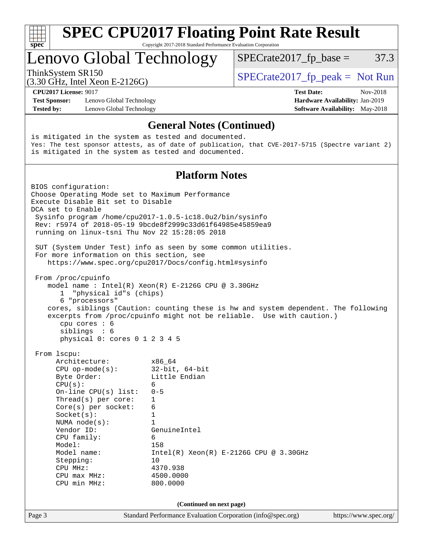| S<br>ne |  |  |  |  |  |  |
|---------|--|--|--|--|--|--|

# Lenovo Global Technology

ThinkSystem SR150  $SPECrate2017$  fp\_peak = Not Run

 $SPECTate2017<sub>fp</sub> base =  $37.3$$ 

(3.30 GHz, Intel Xeon E-2126G)

**[Test Sponsor:](http://www.spec.org/auto/cpu2017/Docs/result-fields.html#TestSponsor)** Lenovo Global Technology **[Hardware Availability:](http://www.spec.org/auto/cpu2017/Docs/result-fields.html#HardwareAvailability)** Jan-2019 **[Tested by:](http://www.spec.org/auto/cpu2017/Docs/result-fields.html#Testedby)** Lenovo Global Technology **[Software Availability:](http://www.spec.org/auto/cpu2017/Docs/result-fields.html#SoftwareAvailability)** May-2018

**[CPU2017 License:](http://www.spec.org/auto/cpu2017/Docs/result-fields.html#CPU2017License)** 9017 **[Test Date:](http://www.spec.org/auto/cpu2017/Docs/result-fields.html#TestDate)** Nov-2018

## **[General Notes \(Continued\)](http://www.spec.org/auto/cpu2017/Docs/result-fields.html#GeneralNotes)**

is mitigated in the system as tested and documented. Yes: The test sponsor attests, as of date of publication, that CVE-2017-5715 (Spectre variant 2) is mitigated in the system as tested and documented.

## **[Platform Notes](http://www.spec.org/auto/cpu2017/Docs/result-fields.html#PlatformNotes)**

Page 3 Standard Performance Evaluation Corporation [\(info@spec.org\)](mailto:info@spec.org) <https://www.spec.org/> BIOS configuration: Choose Operating Mode set to Maximum Performance Execute Disable Bit set to Disable DCA set to Enable Sysinfo program /home/cpu2017-1.0.5-ic18.0u2/bin/sysinfo Rev: r5974 of 2018-05-19 9bcde8f2999c33d61f64985e45859ea9 running on linux-tsni Thu Nov 22 15:28:05 2018 SUT (System Under Test) info as seen by some common utilities. For more information on this section, see <https://www.spec.org/cpu2017/Docs/config.html#sysinfo> From /proc/cpuinfo model name : Intel(R) Xeon(R) E-2126G CPU @ 3.30GHz 1 "physical id"s (chips) 6 "processors" cores, siblings (Caution: counting these is hw and system dependent. The following excerpts from /proc/cpuinfo might not be reliable. Use with caution.) cpu cores : 6 siblings : 6 physical 0: cores 0 1 2 3 4 5 From lscpu: Architecture: x86\_64 CPU op-mode(s): 32-bit, 64-bit Byte Order: Little Endian  $CPU(s):$  6 On-line CPU(s) list: 0-5 Thread(s) per core: 1 Core(s) per socket: 6 Socket(s): 1 NUMA node(s): 1 Vendor ID: GenuineIntel CPU family: 6<br>Model: 158 Model:<br>Model name:  $Intel(R)$  Xeon(R) E-2126G CPU @ 3.30GHz Stepping: 10 CPU MHz: 4370.938 CPU max MHz: 4500.0000 CPU min MHz: 800.0000 **(Continued on next page)**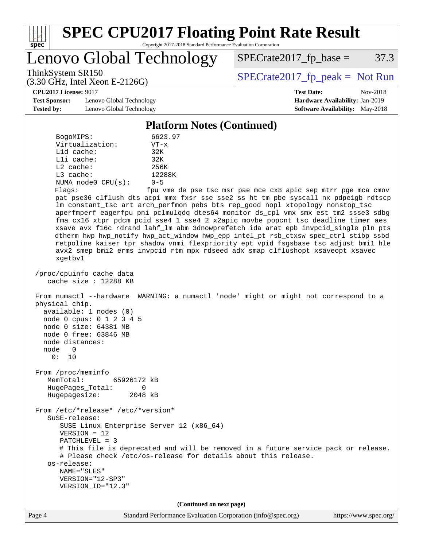

Lenovo Global Technology

 $SPECTate2017<sub>fp</sub> base =  $37.3$$ 

(3.30 GHz, Intel Xeon E-2126G)

ThinkSystem SR150<br>  $SPECTI<sub>5</sub>$  [SPECrate2017\\_fp\\_peak =](http://www.spec.org/auto/cpu2017/Docs/result-fields.html#SPECrate2017fppeak) Not Run

**[CPU2017 License:](http://www.spec.org/auto/cpu2017/Docs/result-fields.html#CPU2017License)** 9017 **[Test Date:](http://www.spec.org/auto/cpu2017/Docs/result-fields.html#TestDate)** Nov-2018

**[Test Sponsor:](http://www.spec.org/auto/cpu2017/Docs/result-fields.html#TestSponsor)** Lenovo Global Technology **[Hardware Availability:](http://www.spec.org/auto/cpu2017/Docs/result-fields.html#HardwareAvailability)** Jan-2019 **[Tested by:](http://www.spec.org/auto/cpu2017/Docs/result-fields.html#Testedby)** Lenovo Global Technology **[Software Availability:](http://www.spec.org/auto/cpu2017/Docs/result-fields.html#SoftwareAvailability)** May-2018

**[Platform Notes \(Continued\)](http://www.spec.org/auto/cpu2017/Docs/result-fields.html#PlatformNotes)**

| BogoMIPS:               | 6623.97  |
|-------------------------|----------|
| Virtualization:         | $VT - x$ |
| $L1d$ cache:            | 32K      |
| Lli cache:              | 32K      |
| $L2$ cache:             | 256K     |
| $L3$ cache:             | 12288K   |
| NUMA $node0$ $CPU(s)$ : | $0 - 5$  |
| . <b>.</b>              |          |

Flags: fpu vme de pse tsc msr pae mce cx8 apic sep mtrr pge mca cmov pat pse36 clflush dts acpi mmx fxsr sse sse2 ss ht tm pbe syscall nx pdpe1gb rdtscp lm constant\_tsc art arch\_perfmon pebs bts rep\_good nopl xtopology nonstop\_tsc aperfmperf eagerfpu pni pclmulqdq dtes64 monitor ds\_cpl vmx smx est tm2 ssse3 sdbg fma cx16 xtpr pdcm pcid sse4\_1 sse4\_2 x2apic movbe popcnt tsc\_deadline\_timer aes xsave avx f16c rdrand lahf\_lm abm 3dnowprefetch ida arat epb invpcid\_single pln pts dtherm hwp hwp\_notify hwp\_act\_window hwp\_epp intel\_pt rsb\_ctxsw spec\_ctrl stibp ssbd retpoline kaiser tpr\_shadow vnmi flexpriority ept vpid fsgsbase tsc\_adjust bmi1 hle avx2 smep bmi2 erms invpcid rtm mpx rdseed adx smap clflushopt xsaveopt xsavec xgetbv1

 /proc/cpuinfo cache data cache size : 12288 KB

 From numactl --hardware WARNING: a numactl 'node' might or might not correspond to a physical chip. available: 1 nodes (0)

 node 0 cpus: 0 1 2 3 4 5 node 0 size: 64381 MB node 0 free: 63846 MB

node distances:

node 0

 0: 10 From /proc/meminfo MemTotal: 65926172 kB HugePages\_Total: 0

Hugepagesize: 2048 kB

 From /etc/\*release\* /etc/\*version\* SuSE-release: SUSE Linux Enterprise Server 12 (x86\_64) VERSION = 12

PATCHLEVEL = 3

 # This file is deprecated and will be removed in a future service pack or release. # Please check /etc/os-release for details about this release. os-release:

 NAME="SLES" VERSION="12-SP3"

VERSION\_ID="12.3"

**(Continued on next page)**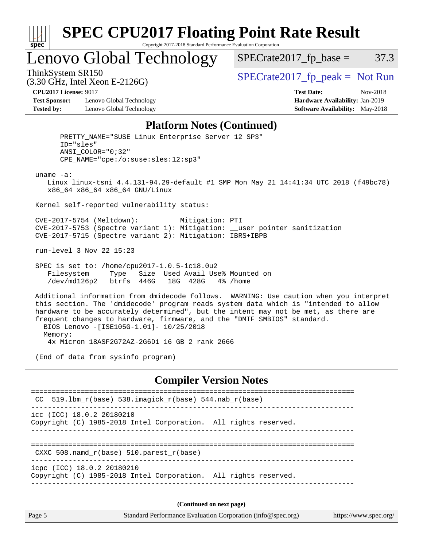

Lenovo Global Technology

ThinkSystem SR150<br>  $SPECTI<sub>5</sub>$  [SPECrate2017\\_fp\\_peak =](http://www.spec.org/auto/cpu2017/Docs/result-fields.html#SPECrate2017fppeak) Not Run

 $SPECTate2017<sub>fp</sub> base =  $37.3$$ 

(3.30 GHz, Intel Xeon E-2126G)

**[Test Sponsor:](http://www.spec.org/auto/cpu2017/Docs/result-fields.html#TestSponsor)** Lenovo Global Technology **[Hardware Availability:](http://www.spec.org/auto/cpu2017/Docs/result-fields.html#HardwareAvailability)** Jan-2019 **[Tested by:](http://www.spec.org/auto/cpu2017/Docs/result-fields.html#Testedby)** Lenovo Global Technology **[Software Availability:](http://www.spec.org/auto/cpu2017/Docs/result-fields.html#SoftwareAvailability)** May-2018

**[CPU2017 License:](http://www.spec.org/auto/cpu2017/Docs/result-fields.html#CPU2017License)** 9017 **[Test Date:](http://www.spec.org/auto/cpu2017/Docs/result-fields.html#TestDate)** Nov-2018

#### **[Platform Notes \(Continued\)](http://www.spec.org/auto/cpu2017/Docs/result-fields.html#PlatformNotes)**

Page 5 Standard Performance Evaluation Corporation [\(info@spec.org\)](mailto:info@spec.org) <https://www.spec.org/> PRETTY\_NAME="SUSE Linux Enterprise Server 12 SP3" ID="sles" ANSI\_COLOR="0;32" CPE\_NAME="cpe:/o:suse:sles:12:sp3" uname -a: Linux linux-tsni 4.4.131-94.29-default #1 SMP Mon May 21 14:41:34 UTC 2018 (f49bc78) x86\_64 x86\_64 x86\_64 GNU/Linux Kernel self-reported vulnerability status: CVE-2017-5754 (Meltdown): Mitigation: PTI CVE-2017-5753 (Spectre variant 1): Mitigation: \_\_user pointer sanitization CVE-2017-5715 (Spectre variant 2): Mitigation: IBRS+IBPB run-level 3 Nov 22 15:23 SPEC is set to: /home/cpu2017-1.0.5-ic18.0u2 Filesystem Type Size Used Avail Use% Mounted on /dev/md126p2 btrfs 446G 18G 428G 4% /home Additional information from dmidecode follows. WARNING: Use caution when you interpret this section. The 'dmidecode' program reads system data which is "intended to allow hardware to be accurately determined", but the intent may not be met, as there are frequent changes to hardware, firmware, and the "DMTF SMBIOS" standard. BIOS Lenovo -[ISE105G-1.01]- 10/25/2018 Memory: 4x Micron 18ASF2G72AZ-2G6D1 16 GB 2 rank 2666 (End of data from sysinfo program) **[Compiler Version Notes](http://www.spec.org/auto/cpu2017/Docs/result-fields.html#CompilerVersionNotes)** ============================================================================== CC 519.lbm\_r(base) 538.imagick\_r(base) 544.nab\_r(base) ----------------------------------------------------------------------------- icc (ICC) 18.0.2 20180210 Copyright (C) 1985-2018 Intel Corporation. All rights reserved. ------------------------------------------------------------------------------ ============================================================================== CXXC 508.namd\_r(base) 510.parest\_r(base) ----------------------------------------------------------------------------- icpc (ICC) 18.0.2 20180210 Copyright (C) 1985-2018 Intel Corporation. All rights reserved. ------------------------------------------------------------------------------ **(Continued on next page)**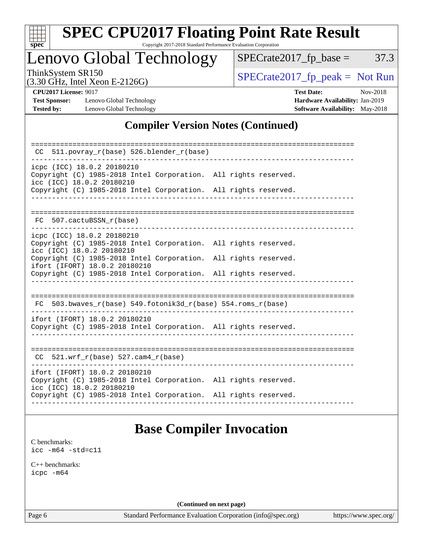

# **[SPEC CPU2017 Floating Point Rate Result](http://www.spec.org/auto/cpu2017/Docs/result-fields.html#SPECCPU2017FloatingPointRateResult)**

Copyright 2017-2018 Standard Performance Evaluation Corporation

## Lenovo Global Technology

 $SPECTate2017_fp\_peak = Not Run$ 

 $SPECTate2017_fp\_base = 37.3$ 

(3.30 GHz, Intel Xeon E-2126G)

**[Test Sponsor:](http://www.spec.org/auto/cpu2017/Docs/result-fields.html#TestSponsor)** Lenovo Global Technology **[Hardware Availability:](http://www.spec.org/auto/cpu2017/Docs/result-fields.html#HardwareAvailability)** Jan-2019 **[Tested by:](http://www.spec.org/auto/cpu2017/Docs/result-fields.html#Testedby)** Lenovo Global Technology **[Software Availability:](http://www.spec.org/auto/cpu2017/Docs/result-fields.html#SoftwareAvailability)** May-2018

**[CPU2017 License:](http://www.spec.org/auto/cpu2017/Docs/result-fields.html#CPU2017License)** 9017 **[Test Date:](http://www.spec.org/auto/cpu2017/Docs/result-fields.html#TestDate)** Nov-2018

## **[Compiler Version Notes \(Continued\)](http://www.spec.org/auto/cpu2017/Docs/result-fields.html#CompilerVersionNotes)**

| 511.povray r(base) 526.blender r(base)<br>CC                                                                                  |  |  |
|-------------------------------------------------------------------------------------------------------------------------------|--|--|
| icpc (ICC) 18.0.2 20180210<br>Copyright (C) 1985-2018 Intel Corporation. All rights reserved.<br>icc (ICC) 18.0.2 20180210    |  |  |
| Copyright (C) 1985-2018 Intel Corporation. All rights reserved.                                                               |  |  |
| FC 507.cactuBSSN r(base)                                                                                                      |  |  |
| icpc (ICC) 18.0.2 20180210<br>Copyright (C) 1985-2018 Intel Corporation. All rights reserved.<br>icc (ICC) 18.0.2 20180210    |  |  |
| Copyright (C) 1985-2018 Intel Corporation. All rights reserved.<br>ifort (IFORT) 18.0.2 20180210                              |  |  |
| Copyright (C) 1985-2018 Intel Corporation. All rights reserved.                                                               |  |  |
|                                                                                                                               |  |  |
| 503.bwaves_r(base) 549.fotonik3d_r(base) 554.roms_r(base)<br>FC                                                               |  |  |
| ifort (IFORT) 18.0.2 20180210<br>Copyright (C) 1985-2018 Intel Corporation. All rights reserved.                              |  |  |
| 521.wrf $r(base)$ 527.cam4 $r(base)$<br>CC.                                                                                   |  |  |
| ifort (IFORT) 18.0.2 20180210<br>Copyright (C) 1985-2018 Intel Corporation. All rights reserved.<br>icc (ICC) 18.0.2 20180210 |  |  |
| Copyright (C) 1985-2018 Intel Corporation. All rights reserved.                                                               |  |  |

## **[Base Compiler Invocation](http://www.spec.org/auto/cpu2017/Docs/result-fields.html#BaseCompilerInvocation)**

[C benchmarks](http://www.spec.org/auto/cpu2017/Docs/result-fields.html#Cbenchmarks): [icc -m64 -std=c11](http://www.spec.org/cpu2017/results/res2018q4/cpu2017-20181126-09877.flags.html#user_CCbase_intel_icc_64bit_c11_33ee0cdaae7deeeab2a9725423ba97205ce30f63b9926c2519791662299b76a0318f32ddfffdc46587804de3178b4f9328c46fa7c2b0cd779d7a61945c91cd35)

[C++ benchmarks:](http://www.spec.org/auto/cpu2017/Docs/result-fields.html#CXXbenchmarks) [icpc -m64](http://www.spec.org/cpu2017/results/res2018q4/cpu2017-20181126-09877.flags.html#user_CXXbase_intel_icpc_64bit_4ecb2543ae3f1412ef961e0650ca070fec7b7afdcd6ed48761b84423119d1bf6bdf5cad15b44d48e7256388bc77273b966e5eb805aefd121eb22e9299b2ec9d9)

**(Continued on next page)**

Page 6 Standard Performance Evaluation Corporation [\(info@spec.org\)](mailto:info@spec.org) <https://www.spec.org/>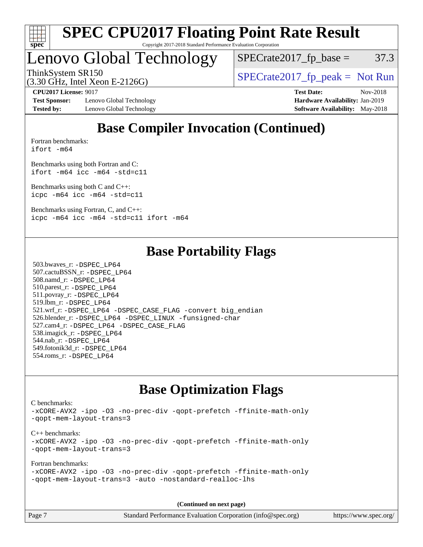

# Lenovo Global Technology

 $SPECTate2017<sub>fp</sub> base =  $37.3$$ 

(3.30 GHz, Intel Xeon E-2126G)

ThinkSystem SR150<br>  $SPECTI<sub>5</sub>$  [SPECrate2017\\_fp\\_peak =](http://www.spec.org/auto/cpu2017/Docs/result-fields.html#SPECrate2017fppeak) Not Run

**[Test Sponsor:](http://www.spec.org/auto/cpu2017/Docs/result-fields.html#TestSponsor)** Lenovo Global Technology **[Hardware Availability:](http://www.spec.org/auto/cpu2017/Docs/result-fields.html#HardwareAvailability)** Jan-2019 **[Tested by:](http://www.spec.org/auto/cpu2017/Docs/result-fields.html#Testedby)** Lenovo Global Technology **[Software Availability:](http://www.spec.org/auto/cpu2017/Docs/result-fields.html#SoftwareAvailability)** May-2018

**[CPU2017 License:](http://www.spec.org/auto/cpu2017/Docs/result-fields.html#CPU2017License)** 9017 **[Test Date:](http://www.spec.org/auto/cpu2017/Docs/result-fields.html#TestDate)** Nov-2018

## **[Base Compiler Invocation \(Continued\)](http://www.spec.org/auto/cpu2017/Docs/result-fields.html#BaseCompilerInvocation)**

[Fortran benchmarks](http://www.spec.org/auto/cpu2017/Docs/result-fields.html#Fortranbenchmarks): [ifort -m64](http://www.spec.org/cpu2017/results/res2018q4/cpu2017-20181126-09877.flags.html#user_FCbase_intel_ifort_64bit_24f2bb282fbaeffd6157abe4f878425411749daecae9a33200eee2bee2fe76f3b89351d69a8130dd5949958ce389cf37ff59a95e7a40d588e8d3a57e0c3fd751)

[Benchmarks using both Fortran and C](http://www.spec.org/auto/cpu2017/Docs/result-fields.html#BenchmarksusingbothFortranandC): [ifort -m64](http://www.spec.org/cpu2017/results/res2018q4/cpu2017-20181126-09877.flags.html#user_CC_FCbase_intel_ifort_64bit_24f2bb282fbaeffd6157abe4f878425411749daecae9a33200eee2bee2fe76f3b89351d69a8130dd5949958ce389cf37ff59a95e7a40d588e8d3a57e0c3fd751) [icc -m64 -std=c11](http://www.spec.org/cpu2017/results/res2018q4/cpu2017-20181126-09877.flags.html#user_CC_FCbase_intel_icc_64bit_c11_33ee0cdaae7deeeab2a9725423ba97205ce30f63b9926c2519791662299b76a0318f32ddfffdc46587804de3178b4f9328c46fa7c2b0cd779d7a61945c91cd35)

[Benchmarks using both C and C++](http://www.spec.org/auto/cpu2017/Docs/result-fields.html#BenchmarksusingbothCandCXX): [icpc -m64](http://www.spec.org/cpu2017/results/res2018q4/cpu2017-20181126-09877.flags.html#user_CC_CXXbase_intel_icpc_64bit_4ecb2543ae3f1412ef961e0650ca070fec7b7afdcd6ed48761b84423119d1bf6bdf5cad15b44d48e7256388bc77273b966e5eb805aefd121eb22e9299b2ec9d9) [icc -m64 -std=c11](http://www.spec.org/cpu2017/results/res2018q4/cpu2017-20181126-09877.flags.html#user_CC_CXXbase_intel_icc_64bit_c11_33ee0cdaae7deeeab2a9725423ba97205ce30f63b9926c2519791662299b76a0318f32ddfffdc46587804de3178b4f9328c46fa7c2b0cd779d7a61945c91cd35)

[Benchmarks using Fortran, C, and C++:](http://www.spec.org/auto/cpu2017/Docs/result-fields.html#BenchmarksusingFortranCandCXX) [icpc -m64](http://www.spec.org/cpu2017/results/res2018q4/cpu2017-20181126-09877.flags.html#user_CC_CXX_FCbase_intel_icpc_64bit_4ecb2543ae3f1412ef961e0650ca070fec7b7afdcd6ed48761b84423119d1bf6bdf5cad15b44d48e7256388bc77273b966e5eb805aefd121eb22e9299b2ec9d9) [icc -m64 -std=c11](http://www.spec.org/cpu2017/results/res2018q4/cpu2017-20181126-09877.flags.html#user_CC_CXX_FCbase_intel_icc_64bit_c11_33ee0cdaae7deeeab2a9725423ba97205ce30f63b9926c2519791662299b76a0318f32ddfffdc46587804de3178b4f9328c46fa7c2b0cd779d7a61945c91cd35) [ifort -m64](http://www.spec.org/cpu2017/results/res2018q4/cpu2017-20181126-09877.flags.html#user_CC_CXX_FCbase_intel_ifort_64bit_24f2bb282fbaeffd6157abe4f878425411749daecae9a33200eee2bee2fe76f3b89351d69a8130dd5949958ce389cf37ff59a95e7a40d588e8d3a57e0c3fd751)

## **[Base Portability Flags](http://www.spec.org/auto/cpu2017/Docs/result-fields.html#BasePortabilityFlags)**

 503.bwaves\_r: [-DSPEC\\_LP64](http://www.spec.org/cpu2017/results/res2018q4/cpu2017-20181126-09877.flags.html#suite_basePORTABILITY503_bwaves_r_DSPEC_LP64) 507.cactuBSSN\_r: [-DSPEC\\_LP64](http://www.spec.org/cpu2017/results/res2018q4/cpu2017-20181126-09877.flags.html#suite_basePORTABILITY507_cactuBSSN_r_DSPEC_LP64) 508.namd\_r: [-DSPEC\\_LP64](http://www.spec.org/cpu2017/results/res2018q4/cpu2017-20181126-09877.flags.html#suite_basePORTABILITY508_namd_r_DSPEC_LP64) 510.parest\_r: [-DSPEC\\_LP64](http://www.spec.org/cpu2017/results/res2018q4/cpu2017-20181126-09877.flags.html#suite_basePORTABILITY510_parest_r_DSPEC_LP64) 511.povray\_r: [-DSPEC\\_LP64](http://www.spec.org/cpu2017/results/res2018q4/cpu2017-20181126-09877.flags.html#suite_basePORTABILITY511_povray_r_DSPEC_LP64) 519.lbm\_r: [-DSPEC\\_LP64](http://www.spec.org/cpu2017/results/res2018q4/cpu2017-20181126-09877.flags.html#suite_basePORTABILITY519_lbm_r_DSPEC_LP64) 521.wrf\_r: [-DSPEC\\_LP64](http://www.spec.org/cpu2017/results/res2018q4/cpu2017-20181126-09877.flags.html#suite_basePORTABILITY521_wrf_r_DSPEC_LP64) [-DSPEC\\_CASE\\_FLAG](http://www.spec.org/cpu2017/results/res2018q4/cpu2017-20181126-09877.flags.html#b521.wrf_r_baseCPORTABILITY_DSPEC_CASE_FLAG) [-convert big\\_endian](http://www.spec.org/cpu2017/results/res2018q4/cpu2017-20181126-09877.flags.html#user_baseFPORTABILITY521_wrf_r_convert_big_endian_c3194028bc08c63ac5d04de18c48ce6d347e4e562e8892b8bdbdc0214820426deb8554edfa529a3fb25a586e65a3d812c835984020483e7e73212c4d31a38223) 526.blender\_r: [-DSPEC\\_LP64](http://www.spec.org/cpu2017/results/res2018q4/cpu2017-20181126-09877.flags.html#suite_basePORTABILITY526_blender_r_DSPEC_LP64) [-DSPEC\\_LINUX](http://www.spec.org/cpu2017/results/res2018q4/cpu2017-20181126-09877.flags.html#b526.blender_r_baseCPORTABILITY_DSPEC_LINUX) [-funsigned-char](http://www.spec.org/cpu2017/results/res2018q4/cpu2017-20181126-09877.flags.html#user_baseCPORTABILITY526_blender_r_force_uchar_40c60f00ab013830e2dd6774aeded3ff59883ba5a1fc5fc14077f794d777847726e2a5858cbc7672e36e1b067e7e5c1d9a74f7176df07886a243d7cc18edfe67) 527.cam4\_r: [-DSPEC\\_LP64](http://www.spec.org/cpu2017/results/res2018q4/cpu2017-20181126-09877.flags.html#suite_basePORTABILITY527_cam4_r_DSPEC_LP64) [-DSPEC\\_CASE\\_FLAG](http://www.spec.org/cpu2017/results/res2018q4/cpu2017-20181126-09877.flags.html#b527.cam4_r_baseCPORTABILITY_DSPEC_CASE_FLAG) 538.imagick\_r: [-DSPEC\\_LP64](http://www.spec.org/cpu2017/results/res2018q4/cpu2017-20181126-09877.flags.html#suite_basePORTABILITY538_imagick_r_DSPEC_LP64) 544.nab\_r: [-DSPEC\\_LP64](http://www.spec.org/cpu2017/results/res2018q4/cpu2017-20181126-09877.flags.html#suite_basePORTABILITY544_nab_r_DSPEC_LP64) 549.fotonik3d\_r: [-DSPEC\\_LP64](http://www.spec.org/cpu2017/results/res2018q4/cpu2017-20181126-09877.flags.html#suite_basePORTABILITY549_fotonik3d_r_DSPEC_LP64) 554.roms\_r: [-DSPEC\\_LP64](http://www.spec.org/cpu2017/results/res2018q4/cpu2017-20181126-09877.flags.html#suite_basePORTABILITY554_roms_r_DSPEC_LP64)

## **[Base Optimization Flags](http://www.spec.org/auto/cpu2017/Docs/result-fields.html#BaseOptimizationFlags)**

[C benchmarks](http://www.spec.org/auto/cpu2017/Docs/result-fields.html#Cbenchmarks): [-xCORE-AVX2](http://www.spec.org/cpu2017/results/res2018q4/cpu2017-20181126-09877.flags.html#user_CCbase_f-xCORE-AVX2) [-ipo](http://www.spec.org/cpu2017/results/res2018q4/cpu2017-20181126-09877.flags.html#user_CCbase_f-ipo) [-O3](http://www.spec.org/cpu2017/results/res2018q4/cpu2017-20181126-09877.flags.html#user_CCbase_f-O3) [-no-prec-div](http://www.spec.org/cpu2017/results/res2018q4/cpu2017-20181126-09877.flags.html#user_CCbase_f-no-prec-div) [-qopt-prefetch](http://www.spec.org/cpu2017/results/res2018q4/cpu2017-20181126-09877.flags.html#user_CCbase_f-qopt-prefetch) [-ffinite-math-only](http://www.spec.org/cpu2017/results/res2018q4/cpu2017-20181126-09877.flags.html#user_CCbase_f_finite_math_only_cb91587bd2077682c4b38af759c288ed7c732db004271a9512da14a4f8007909a5f1427ecbf1a0fb78ff2a814402c6114ac565ca162485bbcae155b5e4258871) [-qopt-mem-layout-trans=3](http://www.spec.org/cpu2017/results/res2018q4/cpu2017-20181126-09877.flags.html#user_CCbase_f-qopt-mem-layout-trans_de80db37974c74b1f0e20d883f0b675c88c3b01e9d123adea9b28688d64333345fb62bc4a798493513fdb68f60282f9a726aa07f478b2f7113531aecce732043) [C++ benchmarks:](http://www.spec.org/auto/cpu2017/Docs/result-fields.html#CXXbenchmarks) [-xCORE-AVX2](http://www.spec.org/cpu2017/results/res2018q4/cpu2017-20181126-09877.flags.html#user_CXXbase_f-xCORE-AVX2) [-ipo](http://www.spec.org/cpu2017/results/res2018q4/cpu2017-20181126-09877.flags.html#user_CXXbase_f-ipo) [-O3](http://www.spec.org/cpu2017/results/res2018q4/cpu2017-20181126-09877.flags.html#user_CXXbase_f-O3) [-no-prec-div](http://www.spec.org/cpu2017/results/res2018q4/cpu2017-20181126-09877.flags.html#user_CXXbase_f-no-prec-div) [-qopt-prefetch](http://www.spec.org/cpu2017/results/res2018q4/cpu2017-20181126-09877.flags.html#user_CXXbase_f-qopt-prefetch) [-ffinite-math-only](http://www.spec.org/cpu2017/results/res2018q4/cpu2017-20181126-09877.flags.html#user_CXXbase_f_finite_math_only_cb91587bd2077682c4b38af759c288ed7c732db004271a9512da14a4f8007909a5f1427ecbf1a0fb78ff2a814402c6114ac565ca162485bbcae155b5e4258871) [-qopt-mem-layout-trans=3](http://www.spec.org/cpu2017/results/res2018q4/cpu2017-20181126-09877.flags.html#user_CXXbase_f-qopt-mem-layout-trans_de80db37974c74b1f0e20d883f0b675c88c3b01e9d123adea9b28688d64333345fb62bc4a798493513fdb68f60282f9a726aa07f478b2f7113531aecce732043) [Fortran benchmarks](http://www.spec.org/auto/cpu2017/Docs/result-fields.html#Fortranbenchmarks): [-xCORE-AVX2](http://www.spec.org/cpu2017/results/res2018q4/cpu2017-20181126-09877.flags.html#user_FCbase_f-xCORE-AVX2) [-ipo](http://www.spec.org/cpu2017/results/res2018q4/cpu2017-20181126-09877.flags.html#user_FCbase_f-ipo) [-O3](http://www.spec.org/cpu2017/results/res2018q4/cpu2017-20181126-09877.flags.html#user_FCbase_f-O3) [-no-prec-div](http://www.spec.org/cpu2017/results/res2018q4/cpu2017-20181126-09877.flags.html#user_FCbase_f-no-prec-div) [-qopt-prefetch](http://www.spec.org/cpu2017/results/res2018q4/cpu2017-20181126-09877.flags.html#user_FCbase_f-qopt-prefetch) [-ffinite-math-only](http://www.spec.org/cpu2017/results/res2018q4/cpu2017-20181126-09877.flags.html#user_FCbase_f_finite_math_only_cb91587bd2077682c4b38af759c288ed7c732db004271a9512da14a4f8007909a5f1427ecbf1a0fb78ff2a814402c6114ac565ca162485bbcae155b5e4258871) [-qopt-mem-layout-trans=3](http://www.spec.org/cpu2017/results/res2018q4/cpu2017-20181126-09877.flags.html#user_FCbase_f-qopt-mem-layout-trans_de80db37974c74b1f0e20d883f0b675c88c3b01e9d123adea9b28688d64333345fb62bc4a798493513fdb68f60282f9a726aa07f478b2f7113531aecce732043) [-auto](http://www.spec.org/cpu2017/results/res2018q4/cpu2017-20181126-09877.flags.html#user_FCbase_f-auto) [-nostandard-realloc-lhs](http://www.spec.org/cpu2017/results/res2018q4/cpu2017-20181126-09877.flags.html#user_FCbase_f_2003_std_realloc_82b4557e90729c0f113870c07e44d33d6f5a304b4f63d4c15d2d0f1fab99f5daaed73bdb9275d9ae411527f28b936061aa8b9c8f2d63842963b95c9dd6426b8a)

**(Continued on next page)**